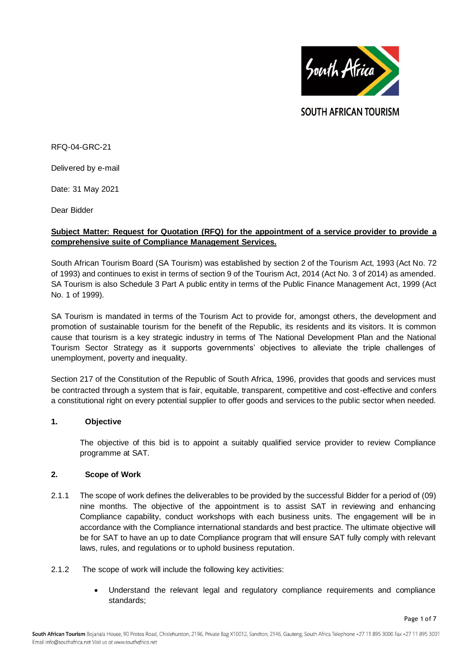

**SOUTH AFRICAN TOURISM** 

RFQ-04-GRC-21

Delivered by e-mail

Date: 31 May 2021

Dear Bidder

# **Subject Matter: Request for Quotation (RFQ) for the appointment of a service provider to provide a comprehensive suite of Compliance Management Services.**

South African Tourism Board (SA Tourism) was established by section 2 of the Tourism Act, 1993 (Act No. 72 of 1993) and continues to exist in terms of section 9 of the Tourism Act, 2014 (Act No. 3 of 2014) as amended. SA Tourism is also Schedule 3 Part A public entity in terms of the Public Finance Management Act, 1999 (Act No. 1 of 1999).

SA Tourism is mandated in terms of the Tourism Act to provide for, amongst others, the development and promotion of sustainable tourism for the benefit of the Republic, its residents and its visitors. It is common cause that tourism is a key strategic industry in terms of The National Development Plan and the National Tourism Sector Strategy as it supports governments' objectives to alleviate the triple challenges of unemployment, poverty and inequality.

Section 217 of the Constitution of the Republic of South Africa, 1996, provides that goods and services must be contracted through a system that is fair, equitable, transparent, competitive and cost-effective and confers a constitutional right on every potential supplier to offer goods and services to the public sector when needed.

# **1. Objective**

The objective of this bid is to appoint a suitably qualified service provider to review Compliance programme at SAT.

# **2. Scope of Work**

- 2.1.1 The scope of work defines the deliverables to be provided by the successful Bidder for a period of (09) nine months. The objective of the appointment is to assist SAT in reviewing and enhancing Compliance capability, conduct workshops with each business units. The engagement will be in accordance with the Compliance international standards and best practice. The ultimate objective will be for SAT to have an up to date Compliance program that will ensure SAT fully comply with relevant laws, rules, and regulations or to uphold business reputation.
- 2.1.2 The scope of work will include the following key activities:
	- Understand the relevant legal and regulatory compliance requirements and compliance standards;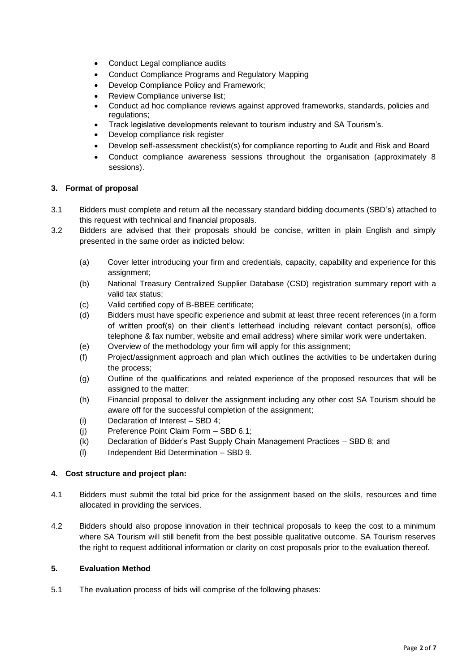- Conduct Legal compliance audits
- Conduct Compliance Programs and Regulatory Mapping
- Develop Compliance Policy and Framework;
- Review Compliance universe list;
- Conduct ad hoc compliance reviews against approved frameworks, standards, policies and regulations;
- Track legislative developments relevant to tourism industry and SA Tourism's.
- Develop compliance risk register
- Develop self-assessment checklist(s) for compliance reporting to Audit and Risk and Board
- Conduct compliance awareness sessions throughout the organisation (approximately 8 sessions).

# **3. Format of proposal**

- 3.1 Bidders must complete and return all the necessary standard bidding documents (SBD's) attached to this request with technical and financial proposals.
- 3.2 Bidders are advised that their proposals should be concise, written in plain English and simply presented in the same order as indicted below:
	- (a) Cover letter introducing your firm and credentials, capacity, capability and experience for this assignment;
	- (b) National Treasury Centralized Supplier Database (CSD) registration summary report with a valid tax status;
	- (c) Valid certified copy of B-BBEE certificate;
	- (d) Bidders must have specific experience and submit at least three recent references (in a form of written proof(s) on their client's letterhead including relevant contact person(s), office telephone & fax number, website and email address) where similar work were undertaken.
	- (e) Overview of the methodology your firm will apply for this assignment;
	- (f) Project/assignment approach and plan which outlines the activities to be undertaken during the process;
	- (g) Outline of the qualifications and related experience of the proposed resources that will be assigned to the matter;
	- (h) Financial proposal to deliver the assignment including any other cost SA Tourism should be aware off for the successful completion of the assignment;
	- (i) Declaration of Interest SBD 4;
	- (j) Preference Point Claim Form SBD 6.1;
	- (k) Declaration of Bidder's Past Supply Chain Management Practices SBD 8; and
	- (l) Independent Bid Determination SBD 9.

# **4. Cost structure and project plan:**

- 4.1 Bidders must submit the total bid price for the assignment based on the skills, resources and time allocated in providing the services.
- 4.2 Bidders should also propose innovation in their technical proposals to keep the cost to a minimum where SA Tourism will still benefit from the best possible qualitative outcome. SA Tourism reserves the right to request additional information or clarity on cost proposals prior to the evaluation thereof.

# **5. Evaluation Method**

5.1 The evaluation process of bids will comprise of the following phases: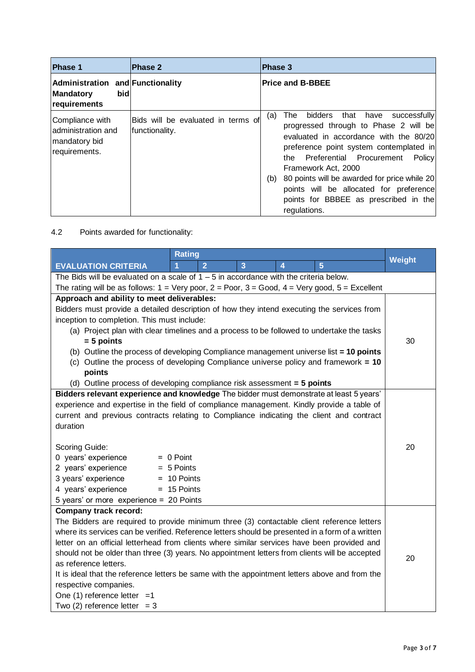| <b>Phase 1</b>                                                              | Phase 2                                              | Phase 3                                                                                                                                                                                                                                                                                                                                                                                                      |
|-----------------------------------------------------------------------------|------------------------------------------------------|--------------------------------------------------------------------------------------------------------------------------------------------------------------------------------------------------------------------------------------------------------------------------------------------------------------------------------------------------------------------------------------------------------------|
| Administration and Functionality<br>bid<br><b>Mandatory</b><br>requirements |                                                      | <b>Price and B-BBEE</b>                                                                                                                                                                                                                                                                                                                                                                                      |
| Compliance with<br>administration and<br>mandatory bid<br>requirements.     | Bids will be evaluated in terms of<br>functionality. | that have<br>bidders<br>The<br>successfully<br>(a)<br>progressed through to Phase 2 will be<br>evaluated in accordance with the 80/20<br>preference point system contemplated in<br>the Preferential Procurement<br>Policy<br>Framework Act, 2000<br>80 points will be awarded for price while 20<br>(b)<br>points will be allocated for preference<br>points for BBBEE as prescribed in the<br>regulations. |

4.2 Points awarded for functionality:

| <b>Rating</b>                                                                                                                       |               |                |                |                         | <b>Weight</b>  |    |
|-------------------------------------------------------------------------------------------------------------------------------------|---------------|----------------|----------------|-------------------------|----------------|----|
| <b>EVALUATION CRITERIA</b>                                                                                                          | 1             | $\overline{2}$ | $\overline{3}$ | $\overline{\mathbf{4}}$ | $\overline{5}$ |    |
| The Bids will be evaluated on a scale of $1 - 5$ in accordance with the criteria below.                                             |               |                |                |                         |                |    |
| The rating will be as follows: $1 = \text{Very poor}, 2 = \text{Poor}, 3 = \text{Good}, 4 = \text{Very good}, 5 = \text{Excellent}$ |               |                |                |                         |                |    |
| Approach and ability to meet deliverables:                                                                                          |               |                |                |                         |                |    |
| Bidders must provide a detailed description of how they intend executing the services from                                          |               |                |                |                         |                |    |
| inception to completion. This must include:                                                                                         |               |                |                |                         |                |    |
| (a) Project plan with clear timelines and a process to be followed to undertake the tasks                                           |               |                |                |                         |                |    |
| $= 5$ points                                                                                                                        |               |                |                |                         | 30             |    |
| (b) Outline the process of developing Compliance management universe list = 10 points                                               |               |                |                |                         |                |    |
| (c) Outline the process of developing Compliance universe policy and framework = $10$                                               |               |                |                |                         |                |    |
| points                                                                                                                              |               |                |                |                         |                |    |
| (d) Outline process of developing compliance risk assessment $=$ 5 points                                                           |               |                |                |                         |                |    |
| Bidders relevant experience and knowledge The bidder must demonstrate at least 5 years'                                             |               |                |                |                         |                |    |
| experience and expertise in the field of compliance management. Kindly provide a table of                                           |               |                |                |                         |                |    |
| current and previous contracts relating to Compliance indicating the client and contract                                            |               |                |                |                         |                |    |
| duration                                                                                                                            |               |                |                |                         |                |    |
| Scoring Guide:                                                                                                                      |               |                |                |                         |                | 20 |
| 0 years' experience                                                                                                                 | $= 0$ Point   |                |                |                         |                |    |
| 2 years' experience<br>$= 5$ Points                                                                                                 |               |                |                |                         |                |    |
| 3 years' experience                                                                                                                 | $= 10$ Points |                |                |                         |                |    |
| 4 years' experience                                                                                                                 | $= 15$ Points |                |                |                         |                |    |
| 5 years' or more experience = 20 Points                                                                                             |               |                |                |                         |                |    |
| <b>Company track record:</b>                                                                                                        |               |                |                |                         |                |    |
| The Bidders are required to provide minimum three (3) contactable client reference letters                                          |               |                |                |                         |                |    |
| where its services can be verified. Reference letters should be presented in a form of a written                                    |               |                |                |                         |                |    |
| letter on an official letterhead from clients where similar services have been provided and                                         |               |                |                |                         |                |    |
| should not be older than three (3) years. No appointment letters from clients will be accepted                                      |               |                |                |                         | 20             |    |
| as reference letters.                                                                                                               |               |                |                |                         |                |    |
| It is ideal that the reference letters be same with the appointment letters above and from the                                      |               |                |                |                         |                |    |
| respective companies.                                                                                                               |               |                |                |                         |                |    |
| One $(1)$ reference letter =1                                                                                                       |               |                |                |                         |                |    |
| Two $(2)$ reference letter = 3                                                                                                      |               |                |                |                         |                |    |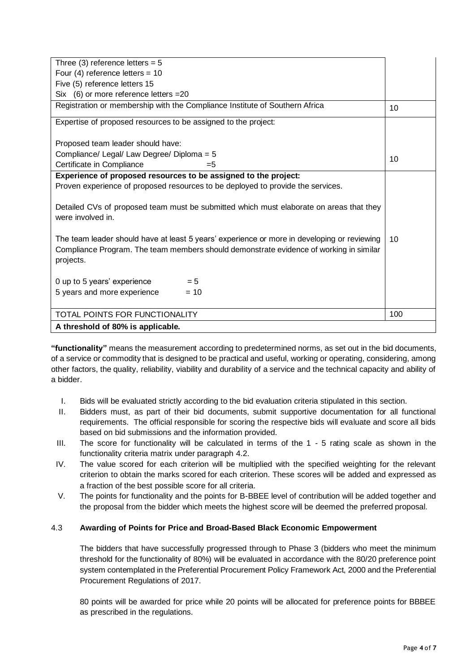| Three (3) reference letters = $5$                                                                                                                                                                  |    |  |  |  |
|----------------------------------------------------------------------------------------------------------------------------------------------------------------------------------------------------|----|--|--|--|
| Four (4) reference letters = $10$                                                                                                                                                                  |    |  |  |  |
| Five (5) reference letters 15                                                                                                                                                                      |    |  |  |  |
| Six $(6)$ or more reference letters = 20                                                                                                                                                           |    |  |  |  |
| Registration or membership with the Compliance Institute of Southern Africa                                                                                                                        |    |  |  |  |
| Expertise of proposed resources to be assigned to the project:                                                                                                                                     |    |  |  |  |
| Proposed team leader should have:<br>Compliance/ Legal/ Law Degree/ Diploma = 5                                                                                                                    |    |  |  |  |
| Certificate in Compliance<br>$= 5$                                                                                                                                                                 | 10 |  |  |  |
| Experience of proposed resources to be assigned to the project:                                                                                                                                    |    |  |  |  |
| Proven experience of proposed resources to be deployed to provide the services.                                                                                                                    |    |  |  |  |
| Detailed CVs of proposed team must be submitted which must elaborate on areas that they<br>were involved in.                                                                                       |    |  |  |  |
| The team leader should have at least 5 years' experience or more in developing or reviewing<br>Compliance Program. The team members should demonstrate evidence of working in similar<br>projects. |    |  |  |  |
| $= 5$<br>0 up to 5 years' experience                                                                                                                                                               |    |  |  |  |
| 5 years and more experience<br>$= 10$                                                                                                                                                              |    |  |  |  |
| TOTAL POINTS FOR FUNCTIONALITY                                                                                                                                                                     |    |  |  |  |
| A threshold of 80% is applicable.                                                                                                                                                                  |    |  |  |  |

**"functionality"** means the measurement according to predetermined norms, as set out in the bid documents, of a service or commodity that is designed to be practical and useful, working or operating, considering, among other factors, the quality, reliability, viability and durability of a service and the technical capacity and ability of a bidder.

- I. Bids will be evaluated strictly according to the bid evaluation criteria stipulated in this section.
- II. Bidders must, as part of their bid documents, submit supportive documentation for all functional requirements. The official responsible for scoring the respective bids will evaluate and score all bids based on bid submissions and the information provided.
- III. The score for functionality will be calculated in terms of the 1 5 rating scale as shown in the functionality criteria matrix under paragraph 4.2.
- IV. The value scored for each criterion will be multiplied with the specified weighting for the relevant criterion to obtain the marks scored for each criterion. These scores will be added and expressed as a fraction of the best possible score for all criteria.
- V. The points for functionality and the points for B-BBEE level of contribution will be added together and the proposal from the bidder which meets the highest score will be deemed the preferred proposal.

# 4.3 **Awarding of Points for Price and Broad-Based Black Economic Empowerment**

The bidders that have successfully progressed through to Phase 3 (bidders who meet the minimum threshold for the functionality of 80%) will be evaluated in accordance with the 80/20 preference point system contemplated in the Preferential Procurement Policy Framework Act, 2000 and the Preferential Procurement Regulations of 2017.

80 points will be awarded for price while 20 points will be allocated for preference points for BBBEE as prescribed in the regulations.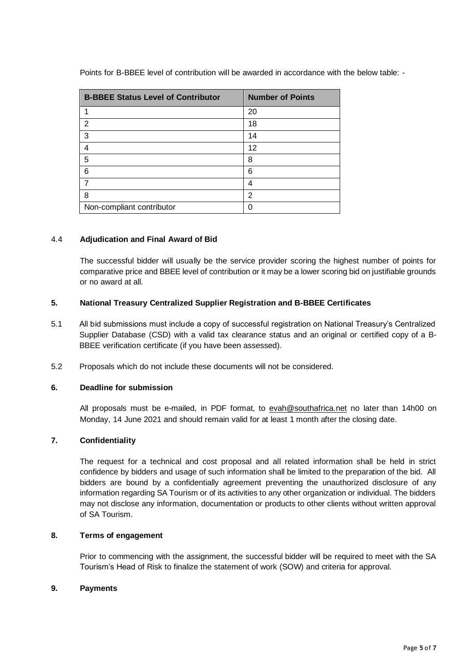Points for B-BBEE level of contribution will be awarded in accordance with the below table: -

| <b>B-BBEE Status Level of Contributor</b> | <b>Number of Points</b> |  |  |
|-------------------------------------------|-------------------------|--|--|
|                                           | 20                      |  |  |
| $\overline{2}$                            | 18                      |  |  |
| 3                                         | 14                      |  |  |
| 4                                         | 12                      |  |  |
| 5                                         | 8                       |  |  |
| 6                                         | 6                       |  |  |
| 7                                         | 4                       |  |  |
| 8                                         | $\overline{2}$          |  |  |
| Non-compliant contributor                 |                         |  |  |

# 4.4 **Adjudication and Final Award of Bid**

The successful bidder will usually be the service provider scoring the highest number of points for comparative price and BBEE level of contribution or it may be a lower scoring bid on justifiable grounds or no award at all.

# **5. National Treasury Centralized Supplier Registration and B-BBEE Certificates**

- 5.1 All bid submissions must include a copy of successful registration on National Treasury's Centralized Supplier Database (CSD) with a valid tax clearance status and an original or certified copy of a B-BBEE verification certificate (if you have been assessed).
- 5.2 Proposals which do not include these documents will not be considered.

## **6. Deadline for submission**

All proposals must be e-mailed, in PDF format, to [evah@southafrica.net](mailto:evah@southafrica.net) no later than 14h00 on Monday, 14 June 2021 and should remain valid for at least 1 month after the closing date.

# **7. Confidentiality**

The request for a technical and cost proposal and all related information shall be held in strict confidence by bidders and usage of such information shall be limited to the preparation of the bid. All bidders are bound by a confidentially agreement preventing the unauthorized disclosure of any information regarding SA Tourism or of its activities to any other organization or individual. The bidders may not disclose any information, documentation or products to other clients without written approval of SA Tourism.

#### **8. Terms of engagement**

Prior to commencing with the assignment, the successful bidder will be required to meet with the SA Tourism's Head of Risk to finalize the statement of work (SOW) and criteria for approval.

#### **9. Payments**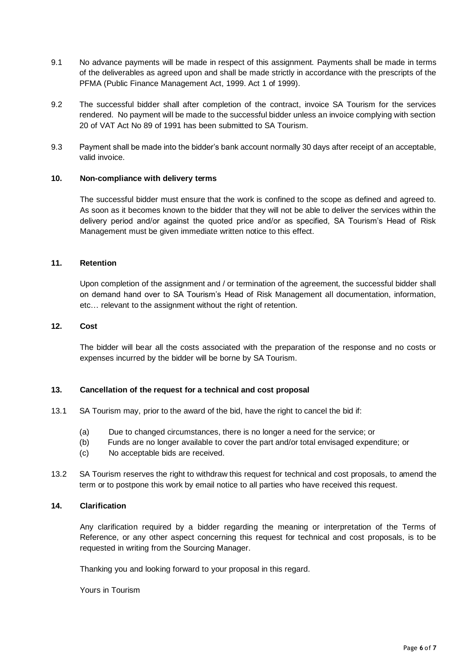- 9.1 No advance payments will be made in respect of this assignment. Payments shall be made in terms of the deliverables as agreed upon and shall be made strictly in accordance with the prescripts of the PFMA (Public Finance Management Act, 1999. Act 1 of 1999).
- 9.2 The successful bidder shall after completion of the contract, invoice SA Tourism for the services rendered. No payment will be made to the successful bidder unless an invoice complying with section 20 of VAT Act No 89 of 1991 has been submitted to SA Tourism.
- 9.3 Payment shall be made into the bidder's bank account normally 30 days after receipt of an acceptable, valid invoice.

# **10. Non-compliance with delivery terms**

The successful bidder must ensure that the work is confined to the scope as defined and agreed to. As soon as it becomes known to the bidder that they will not be able to deliver the services within the delivery period and/or against the quoted price and/or as specified, SA Tourism's Head of Risk Management must be given immediate written notice to this effect.

#### **11. Retention**

Upon completion of the assignment and / or termination of the agreement, the successful bidder shall on demand hand over to SA Tourism's Head of Risk Management all documentation, information, etc… relevant to the assignment without the right of retention.

#### **12. Cost**

The bidder will bear all the costs associated with the preparation of the response and no costs or expenses incurred by the bidder will be borne by SA Tourism.

# **13. Cancellation of the request for a technical and cost proposal**

- 13.1 SA Tourism may, prior to the award of the bid, have the right to cancel the bid if:
	- (a) Due to changed circumstances, there is no longer a need for the service; or
	- (b) Funds are no longer available to cover the part and/or total envisaged expenditure; or
	- (c) No acceptable bids are received.
- 13.2 SA Tourism reserves the right to withdraw this request for technical and cost proposals, to amend the term or to postpone this work by email notice to all parties who have received this request.

#### **14. Clarification**

Any clarification required by a bidder regarding the meaning or interpretation of the Terms of Reference, or any other aspect concerning this request for technical and cost proposals, is to be requested in writing from the Sourcing Manager.

Thanking you and looking forward to your proposal in this regard.

Yours in Tourism